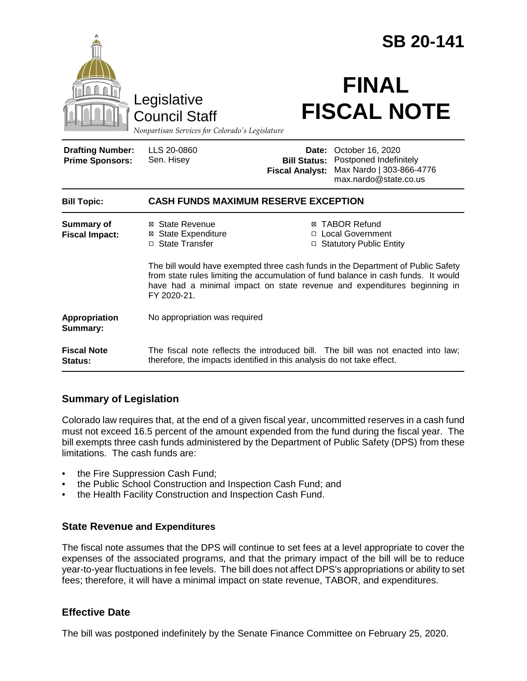|                                                   |                                                                                                                                                                                                                                                                   | <b>SB 20-141</b>                                       |                                                                                                 |
|---------------------------------------------------|-------------------------------------------------------------------------------------------------------------------------------------------------------------------------------------------------------------------------------------------------------------------|--------------------------------------------------------|-------------------------------------------------------------------------------------------------|
|                                                   | Legislative<br><b>Council Staff</b><br>Nonpartisan Services for Colorado's Legislature                                                                                                                                                                            |                                                        | <b>FINAL</b><br><b>FISCAL NOTE</b>                                                              |
| <b>Drafting Number:</b><br><b>Prime Sponsors:</b> | LLS 20-0860<br>Sen. Hisey                                                                                                                                                                                                                                         | Date:<br><b>Bill Status:</b><br><b>Fiscal Analyst:</b> | October 16, 2020<br>Postponed Indefinitely<br>Max Nardo   303-866-4776<br>max.nardo@state.co.us |
| <b>Bill Topic:</b>                                | <b>CASH FUNDS MAXIMUM RESERVE EXCEPTION</b>                                                                                                                                                                                                                       |                                                        |                                                                                                 |
| <b>Summary of</b><br><b>Fiscal Impact:</b>        | ⊠ State Revenue<br><b>⊠</b> State Expenditure<br>□ State Transfer                                                                                                                                                                                                 |                                                        | ⊠ TABOR Refund<br>□ Local Government<br>□ Statutory Public Entity                               |
|                                                   | The bill would have exempted three cash funds in the Department of Public Safety<br>from state rules limiting the accumulation of fund balance in cash funds. It would<br>have had a minimal impact on state revenue and expenditures beginning in<br>FY 2020-21. |                                                        |                                                                                                 |
| Appropriation<br>Summary:                         | No appropriation was required                                                                                                                                                                                                                                     |                                                        |                                                                                                 |
| <b>Fiscal Note</b><br>Status:                     | therefore, the impacts identified in this analysis do not take effect.                                                                                                                                                                                            |                                                        | The fiscal note reflects the introduced bill. The bill was not enacted into law;                |

# **Summary of Legislation**

Colorado law requires that, at the end of a given fiscal year, uncommitted reserves in a cash fund must not exceed 16.5 percent of the amount expended from the fund during the fiscal year. The bill exempts three cash funds administered by the Department of Public Safety (DPS) from these limitations. The cash funds are:

- the Fire Suppression Cash Fund:
- the Public School Construction and Inspection Cash Fund; and
- the Health Facility Construction and Inspection Cash Fund.

#### **State Revenue and Expenditures**

The fiscal note assumes that the DPS will continue to set fees at a level appropriate to cover the expenses of the associated programs, and that the primary impact of the bill will be to reduce year-to-year fluctuations in fee levels. The bill does not affect DPS's appropriations or ability to set fees; therefore, it will have a minimal impact on state revenue, TABOR, and expenditures.

### **Effective Date**

The bill was postponed indefinitely by the Senate Finance Committee on February 25, 2020.